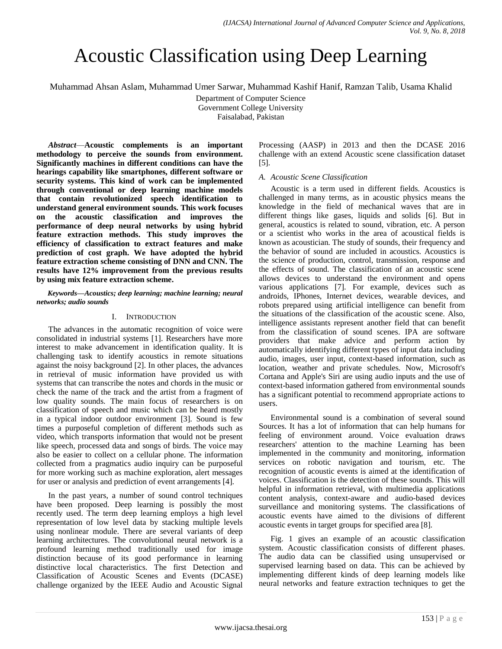# Acoustic Classification using Deep Learning

Muhammad Ahsan Aslam, Muhammad Umer Sarwar, Muhammad Kashif Hanif, Ramzan Talib, Usama Khalid

Department of Computer Science

Government College University

Faisalabad, Pakistan

*Abstract*—**Acoustic complements is an important methodology to perceive the sounds from environment. Significantly machines in different conditions can have the hearings capability like smartphones, different software or security systems. This kind of work can be implemented through conventional or deep learning machine models that contain revolutionized speech identification to understand general environment sounds. This work focuses on the acoustic classification and improves the performance of deep neural networks by using hybrid feature extraction methods. This study improves the efficiency of classification to extract features and make prediction of cost graph. We have adopted the hybrid feature extraction scheme consisting of DNN and CNN. The results have 12% improvement from the previous results by using mix feature extraction scheme.**

*Keywords—Acoustics; deep learning; machine learning; neural networks; audio sounds*

## I. INTRODUCTION

The advances in the automatic recognition of voice were consolidated in industrial systems [1]. Researchers have more interest to make advancement in identification quality. It is challenging task to identify acoustics in remote situations against the noisy background [2]. In other places, the advances in retrieval of music information have provided us with systems that can transcribe the notes and chords in the music or check the name of the track and the artist from a fragment of low quality sounds. The main focus of researchers is on classification of speech and music which can be heard mostly in a typical indoor outdoor environment [3]. Sound is few times a purposeful completion of different methods such as video, which transports information that would not be present like speech, processed data and songs of birds. The voice may also be easier to collect on a cellular phone. The information collected from a pragmatics audio inquiry can be purposeful for more working such as machine exploration, alert messages for user or analysis and prediction of event arrangements [4].

In the past years, a number of sound control techniques have been proposed. Deep learning is possibly the most recently used. The term deep learning employs a high level representation of low level data by stacking multiple levels using nonlinear module. There are several variants of deep learning architectures. The convolutional neural network is a profound learning method traditionally used for image distinction because of its good performance in learning distinctive local characteristics. The first Detection and Classification of Acoustic Scenes and Events (DCASE) challenge organized by the IEEE Audio and Acoustic Signal

Processing (AASP) in 2013 and then the DCASE 2016 challenge with an extend Acoustic scene classification dataset [5].

## *A. Acoustic Scene Classification*

Acoustic is a term used in different fields. Acoustics is challenged in many terms, as in acoustic physics means the knowledge in the field of mechanical waves that are in different things like gases, liquids and solids [6]. But in general, acoustics is related to sound, vibration, etc. A person or a scientist who works in the area of acoustical fields is known as acoustician. The study of sounds, their frequency and the behavior of sound are included in acoustics. Acoustics is the science of production, control, transmission, response and the effects of sound. The classification of an acoustic scene allows devices to understand the environment and opens various applications [7]. For example, devices such as androids, IPhones, Internet devices, wearable devices, and robots prepared using artificial intelligence can benefit from the situations of the classification of the acoustic scene. Also, intelligence assistants represent another field that can benefit from the classification of sound scenes. IPA are software providers that make advice and perform action by automatically identifying different types of input data including audio, images, user input, context-based information, such as location, weather and private schedules. Now, Microsoft's Cortana and Apple's Siri are using audio inputs and the use of context-based information gathered from environmental sounds has a significant potential to recommend appropriate actions to users.

Environmental sound is a combination of several sound Sources. It has a lot of information that can help humans for feeling of environment around. Voice evaluation draws researchers' attention to the machine Learning has been implemented in the community and monitoring, information services on robotic navigation and tourism, etc. The recognition of acoustic events is aimed at the identification of voices. Classification is the detection of these sounds. This will helpful in information retrieval, with multimedia applications content analysis, context-aware and audio-based devices surveillance and monitoring systems. The classifications of acoustic events have aimed to the divisions of different acoustic events in target groups for specified area [8].

Fig. 1 gives an example of an acoustic classification system. Acoustic classification consists of different phases. The audio data can be classified using unsupervised or supervised learning based on data. This can be achieved by implementing different kinds of deep learning models like neural networks and feature extraction techniques to get the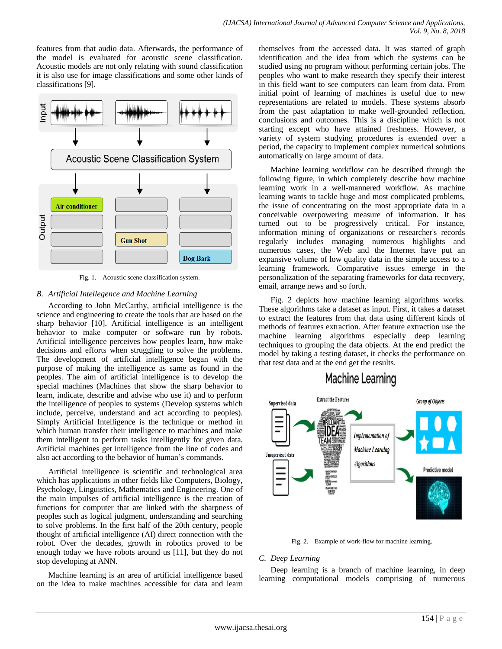features from that audio data. Afterwards, the performance of the model is evaluated for acoustic scene classification. Acoustic models are not only relating with sound classification it is also use for image classifications and some other kinds of classifications [9].



Fig. 1. Acoustic scene classification system.

## *B. Artificial Intellegence and Machine Learning*

According to John McCarthy, artificial intelligence is the science and engineering to create the tools that are based on the sharp behavior [10]. Artificial intelligence is an intelligent behavior to make computer or software run by robots. Artificial intelligence perceives how peoples learn, how make decisions and efforts when struggling to solve the problems. The development of artificial intelligence began with the purpose of making the intelligence as same as found in the peoples. The aim of artificial intelligence is to develop the special machines (Machines that show the sharp behavior to learn, indicate, describe and advise who use it) and to perform the intelligence of peoples to systems (Develop systems which include, perceive, understand and act according to peoples). Simply Artificial Intelligence is the technique or method in which human transfer their intelligence to machines and make them intelligent to perform tasks intelligently for given data. Artificial machines get intelligence from the line of codes and also act according to the behavior of human's commands.

Artificial intelligence is scientific and technological area which has applications in other fields like Computers, Biology, Psychology, Linguistics, Mathematics and Engineering. One of the main impulses of artificial intelligence is the creation of functions for computer that are linked with the sharpness of peoples such as logical judgment, understanding and searching to solve problems. In the first half of the 20th century, people thought of artificial intelligence (AI) direct connection with the robot. Over the decades, growth in robotics proved to be enough today we have robots around us [11], but they do not stop developing at ANN.

Machine learning is an area of artificial intelligence based on the idea to make machines accessible for data and learn themselves from the accessed data. It was started of graph identification and the idea from which the systems can be studied using no program without performing certain jobs. The peoples who want to make research they specify their interest in this field want to see computers can learn from data. From initial point of learning of machines is useful due to new representations are related to models. These systems absorb from the past adaptation to make well-grounded reflection, conclusions and outcomes. This is a discipline which is not starting except who have attained freshness. However, a variety of system studying procedures is extended over a period, the capacity to implement complex numerical solutions automatically on large amount of data.

Machine learning workflow can be described through the following figure, in which completely describe how machine learning work in a well-mannered workflow. As machine learning wants to tackle huge and most complicated problems, the issue of concentrating on the most appropriate data in a conceivable overpowering measure of information. It has turned out to be progressively critical. For instance, information mining of organizations or researcher's records regularly includes managing numerous highlights and numerous cases, the Web and the Internet have put an expansive volume of low quality data in the simple access to a learning framework. Comparative issues emerge in the personalization of the separating frameworks for data recovery, email, arrange news and so forth.

Fig. 2 depicts how machine learning algorithms works. These algorithms take a dataset as input. First, it takes a dataset to extract the features from that data using different kinds of methods of features extraction. After feature extraction use the machine learning algorithms especially deep learning techniques to grouping the data objects. At the end predict the model by taking a testing dataset, it checks the performance on that test data and at the end get the results.

## Machine Learning



Fig. 2. Example of work-flow for machine learning.

## *C. Deep Learning*

Deep learning is a branch of machine learning, in deep learning computational models comprising of numerous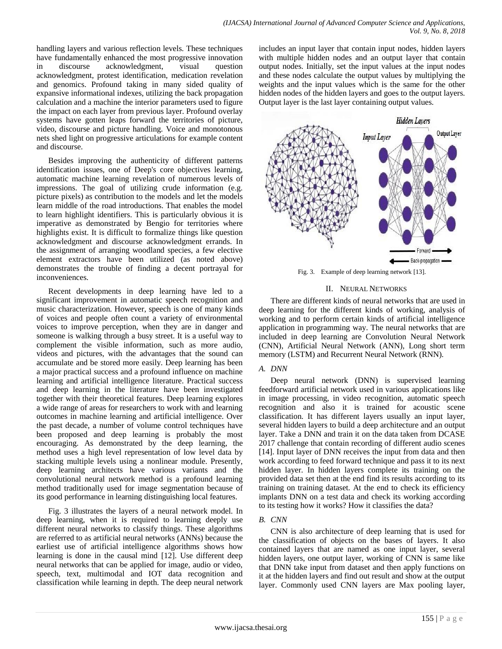handling layers and various reflection levels. These techniques have fundamentally enhanced the most progressive innovation in discourse acknowledgment, visual question acknowledgment, protest identification, medication revelation and genomics. Profound taking in many sided quality of expansive informational indexes, utilizing the back propagation calculation and a machine the interior parameters used to figure the impact on each layer from previous layer. Profound overlay systems have gotten leaps forward the territories of picture, video, discourse and picture handling. Voice and monotonous nets shed light on progressive articulations for example content and discourse.

Besides improving the authenticity of different patterns identification issues, one of Deep's core objectives learning, automatic machine learning revelation of numerous levels of impressions. The goal of utilizing crude information (e.g. picture pixels) as contribution to the models and let the models learn middle of the road introductions. That enables the model to learn highlight identifiers. This is particularly obvious it is imperative as demonstrated by Bengio for territories where highlights exist. It is difficult to formalize things like question acknowledgment and discourse acknowledgment errands. In the assignment of arranging woodland species, a few elective element extractors have been utilized (as noted above) demonstrates the trouble of finding a decent portrayal for inconveniences.

Recent developments in deep learning have led to a significant improvement in automatic speech recognition and music characterization. However, speech is one of many kinds of voices and people often count a variety of environmental voices to improve perception, when they are in danger and someone is walking through a busy street. It is a useful way to complement the visible information, such as more audio, videos and pictures, with the advantages that the sound can accumulate and be stored more easily. Deep learning has been a major practical success and a profound influence on machine learning and artificial intelligence literature. Practical success and deep learning in the literature have been investigated together with their theoretical features. Deep learning explores a wide range of areas for researchers to work with and learning outcomes in machine learning and artificial intelligence. Over the past decade, a number of volume control techniques have been proposed and deep learning is probably the most encouraging. As demonstrated by the deep learning, the method uses a high level representation of low level data by stacking multiple levels using a nonlinear module. Presently, deep learning architects have various variants and the convolutional neural network method is a profound learning method traditionally used for image segmentation because of its good performance in learning distinguishing local features.

Fig. 3 illustrates the layers of a neural network model. In deep learning, when it is required to learning deeply use different neural networks to classify things. These algorithms are referred to as artificial neural networks (ANNs) because the earliest use of artificial intelligence algorithms shows how learning is done in the causal mind [12]. Use different deep neural networks that can be applied for image, audio or video, speech, text, multimodal and IOT data recognition and classification while learning in depth. The deep neural network includes an input layer that contain input nodes, hidden layers with multiple hidden nodes and an output layer that contain output nodes. Initially, set the input values at the input nodes and these nodes calculate the output values by multiplying the weights and the input values which is the same for the other hidden nodes of the hidden layers and goes to the output layers. Output layer is the last layer containing output values.



Fig. 3. Example of deep learning network [13].

## II. NEURAL NETWORKS

There are different kinds of neural networks that are used in deep learning for the different kinds of working, analysis of working and to perform certain kinds of artificial intelligence application in programming way. The neural networks that are included in deep learning are Convolution Neural Network (CNN), Artificial Neural Network (ANN), Long short term memory (LSTM) and Recurrent Neural Network (RNN).

## *A. DNN*

Deep neural network (DNN) is supervised learning feedforward artificial network used in various applications like in image processing, in video recognition, automatic speech recognition and also it is trained for acoustic scene classification. It has different layers usually an input layer, several hidden layers to build a deep architecture and an output layer. Take a DNN and train it on the data taken from DCASE 2017 challenge that contain recording of different audio scenes [14]. Input layer of DNN receives the input from data and then work according to feed forward technique and pass it to its next hidden layer. In hidden layers complete its training on the provided data set then at the end find its results according to its training on training dataset. At the end to check its efficiency implants DNN on a test data and check its working according to its testing how it works? How it classifies the data?

## *B. CNN*

CNN is also architecture of deep learning that is used for the classification of objects on the bases of layers. It also contained layers that are named as one input layer, several hidden layers, one output layer, working of CNN is same like that DNN take input from dataset and then apply functions on it at the hidden layers and find out result and show at the output layer. Commonly used CNN layers are Max pooling layer,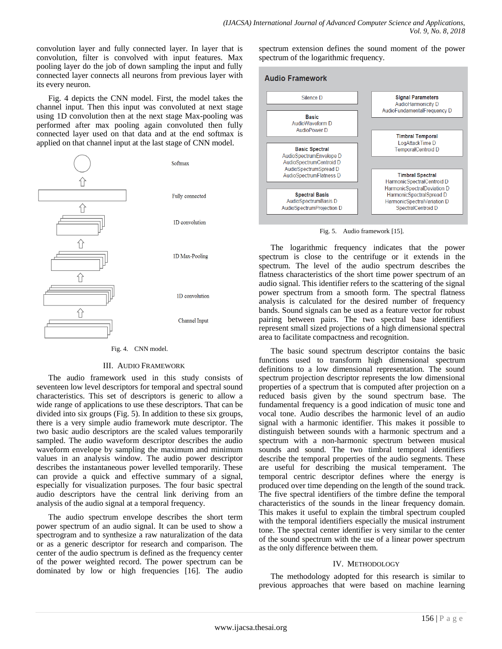convolution layer and fully connected layer. In layer that is convolution, filter is convolved with input features. Max pooling layer do the job of down sampling the input and fully connected layer connects all neurons from previous layer with its every neuron.

Fig. 4 depicts the CNN model. First, the model takes the channel input. Then this input was convoluted at next stage using 1D convolution then at the next stage Max-pooling was performed after max pooling again convoluted then fully connected layer used on that data and at the end softmax is applied on that channel input at the last stage of CNN model.



## III. AUDIO FRAMEWORK

The audio framework used in this study consists of seventeen low level descriptors for temporal and spectral sound characteristics. This set of descriptors is generic to allow a wide range of applications to use these descriptors. That can be divided into six groups (Fig. 5). In addition to these six groups, there is a very simple audio framework mute descriptor. The two basic audio descriptors are the scaled values temporarily sampled. The audio waveform descriptor describes the audio waveform envelope by sampling the maximum and minimum values in an analysis window. The audio power descriptor describes the instantaneous power levelled temporarily. These can provide a quick and effective summary of a signal, especially for visualization purposes. The four basic spectral audio descriptors have the central link deriving from an analysis of the audio signal at a temporal frequency.

The audio spectrum envelope describes the short term power spectrum of an audio signal. It can be used to show a spectrogram and to synthesize a raw naturalization of the data or as a generic descriptor for research and comparison. The center of the audio spectrum is defined as the frequency center of the power weighted record. The power spectrum can be dominated by low or high frequencies [16]. The audio spectrum extension defines the sound moment of the power spectrum of the logarithmic frequency.

## **Audio Framework**



Fig. 5. Audio framework [15].

The logarithmic frequency indicates that the power spectrum is close to the centrifuge or it extends in the spectrum. The level of the audio spectrum describes the flatness characteristics of the short time power spectrum of an audio signal. This identifier refers to the scattering of the signal power spectrum from a smooth form. The spectral flatness analysis is calculated for the desired number of frequency bands. Sound signals can be used as a feature vector for robust pairing between pairs. The two spectral base identifiers represent small sized projections of a high dimensional spectral area to facilitate compactness and recognition.

The basic sound spectrum descriptor contains the basic functions used to transform high dimensional spectrum definitions to a low dimensional representation. The sound spectrum projection descriptor represents the low dimensional properties of a spectrum that is computed after projection on a reduced basis given by the sound spectrum base. The fundamental frequency is a good indication of music tone and vocal tone. Audio describes the harmonic level of an audio signal with a harmonic identifier. This makes it possible to distinguish between sounds with a harmonic spectrum and a spectrum with a non-harmonic spectrum between musical sounds and sound. The two timbral temporal identifiers describe the temporal properties of the audio segments. These are useful for describing the musical temperament. The temporal centric descriptor defines where the energy is produced over time depending on the length of the sound track. The five spectral identifiers of the timbre define the temporal characteristics of the sounds in the linear frequency domain. This makes it useful to explain the timbral spectrum coupled with the temporal identifiers especially the musical instrument tone. The spectral center identifier is very similar to the center of the sound spectrum with the use of a linear power spectrum as the only difference between them.

## IV. METHODOLOGY

The methodology adopted for this research is similar to previous approaches that were based on machine learning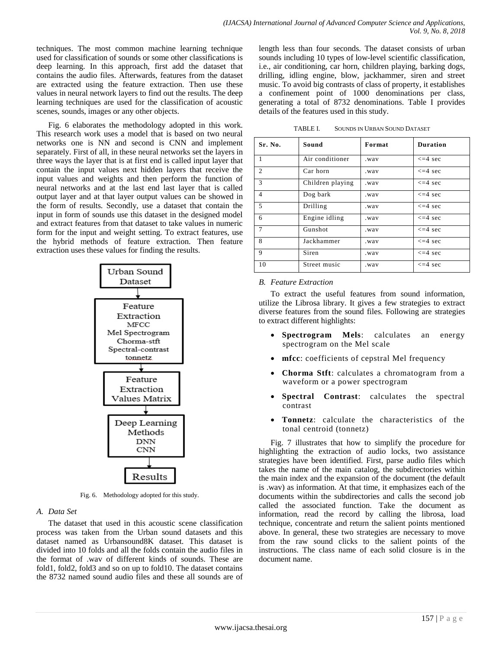techniques. The most common machine learning technique used for classification of sounds or some other classifications is deep learning. In this approach, first add the dataset that contains the audio files. Afterwards, features from the dataset are extracted using the feature extraction. Then use these values in neural network layers to find out the results. The deep learning techniques are used for the classification of acoustic scenes, sounds, images or any other objects.

Fig. 6 elaborates the methodology adopted in this work. This research work uses a model that is based on two neural networks one is NN and second is CNN and implement separately. First of all, in these neural networks set the layers in three ways the layer that is at first end is called input layer that contain the input values next hidden layers that receive the input values and weights and then perform the function of neural networks and at the last end last layer that is called output layer and at that layer output values can be showed in the form of results. Secondly, use a dataset that contain the input in form of sounds use this dataset in the designed model and extract features from that dataset to take values in numeric form for the input and weight setting. To extract features, use the hybrid methods of feature extraction. Then feature extraction uses these values for finding the results.



Fig. 6. Methodology adopted for this study.

## *A. Data Set*

The dataset that used in this acoustic scene classification process was taken from the Urban sound datasets and this dataset named as Urbansound8K dataset. This dataset is divided into 10 folds and all the folds contain the audio files in the format of .wav of different kinds of sounds. These are fold1, fold2, fold3 and so on up to fold10. The dataset contains the 8732 named sound audio files and these all sounds are of length less than four seconds. The dataset consists of urban sounds including 10 types of low-level scientific classification, i.e., air conditioning, car horn, children playing, barking dogs, drilling, idling engine, blow, jackhammer, siren and street music. To avoid big contrasts of class of property, it establishes a confinement point of 1000 denominations per class, generating a total of 8732 denominations. Table I provides details of the features used in this study.

| TABLE I. | <b>SOUNDS IN URBAN SOUND DATASET</b> |  |
|----------|--------------------------------------|--|
|          |                                      |  |

| Sr. No.                  | Sound            | Format | <b>Duration</b> |
|--------------------------|------------------|--------|-----------------|
| 1                        | Air conditioner  | .wav   | $\leq$ =4 sec   |
| 2                        | Car horn         | .wav   | $\leq$ =4 sec   |
| 3                        | Children playing | .wav   | $\leq$ =4 sec   |
| $\overline{\mathcal{A}}$ | Dog bark         | .wav   | $\leq$ =4 sec   |
| 5                        | Drilling         | . way  | $\leq$ =4 sec   |
| 6                        | Engine idling    | .wav   | $\leq$ =4 sec   |
| $\tau$                   | Gunshot          | .wav   | $\leq$ =4 sec   |
| 8                        | Jackhammer       | .wav   | $\leq$ =4 sec   |
| $\mathbf Q$              | Siren            | .wav   | $\leq$ =4 sec   |
| 10                       | Street music     | .wav   | $\leq$ =4 sec   |

## *B. Feature Extraction*

To extract the useful features from sound information, utilize the Librosa library. It gives a few strategies to extract diverse features from the sound files. Following are strategies to extract different highlights:

- **Spectrogram Mels**: calculates an energy spectrogram on the Mel scale
- **mfcc**: coefficients of cepstral Mel frequency
- **Chorma Stft**: calculates a chromatogram from a waveform or a power spectrogram
- **Spectral Contrast**: calculates the spectral contrast
- **Tonnetz**: calculate the characteristics of the tonal centroid (tonnetz)

Fig. 7 illustrates that how to simplify the procedure for highlighting the extraction of audio locks, two assistance strategies have been identified. First, parse audio files which takes the name of the main catalog, the subdirectories within the main index and the expansion of the document (the default is .wav) as information. At that time, it emphasizes each of the documents within the subdirectories and calls the second job called the associated function. Take the document as information, read the record by calling the librosa, load technique, concentrate and return the salient points mentioned above. In general, these two strategies are necessary to move from the raw sound clicks to the salient points of the instructions. The class name of each solid closure is in the document name.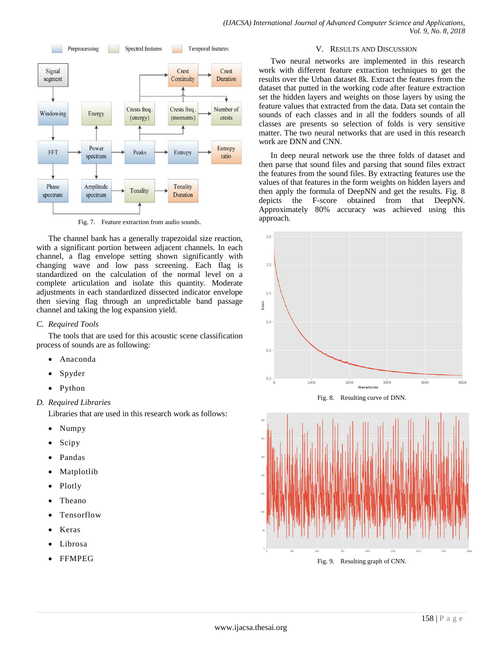

Fig. 7. Feature extraction from audio sounds.

The channel bank has a generally trapezoidal size reaction, with a significant portion between adjacent channels. In each channel, a flag envelope setting shown significantly with changing wave and low pass screening. Each flag is standardized on the calculation of the normal level on a complete articulation and isolate this quantity. Moderate adjustments in each standardized dissected indicator envelope then sieving flag through an unpredictable band passage channel and taking the log expansion yield.

## *C. Required Tools*

The tools that are used for this acoustic scene classification process of sounds are as following:

- Anaconda
- Spyder
- Python

## *D. Required Libraries*

Libraries that are used in this research work as follows:

- Numpy
- Scipy
- Pandas
- Matplotlib
- Plotly
- Theano
- Tensorflow
- Keras
- Librosa
- FFMPEG

## V. RESULTS AND DISCUSSION

Two neural networks are implemented in this research work with different feature extraction techniques to get the results over the Urban dataset 8k. Extract the features from the dataset that putted in the working code after feature extraction set the hidden layers and weights on those layers by using the feature values that extracted from the data. Data set contain the sounds of each classes and in all the fodders sounds of all classes are presents so selection of folds is very sensitive matter. The two neural networks that are used in this research work are DNN and CNN.

In deep neural network use the three folds of dataset and then parse that sound files and parsing that sound files extract the features from the sound files. By extracting features use the values of that features in the form weights on hidden layers and then apply the formula of DeepNN and get the results. Fig. 8 depicts the F-score obtained from that DeepNN. Approximately 80% accuracy was achieved using this approach.







Fig. 9. Resulting graph of CNN.